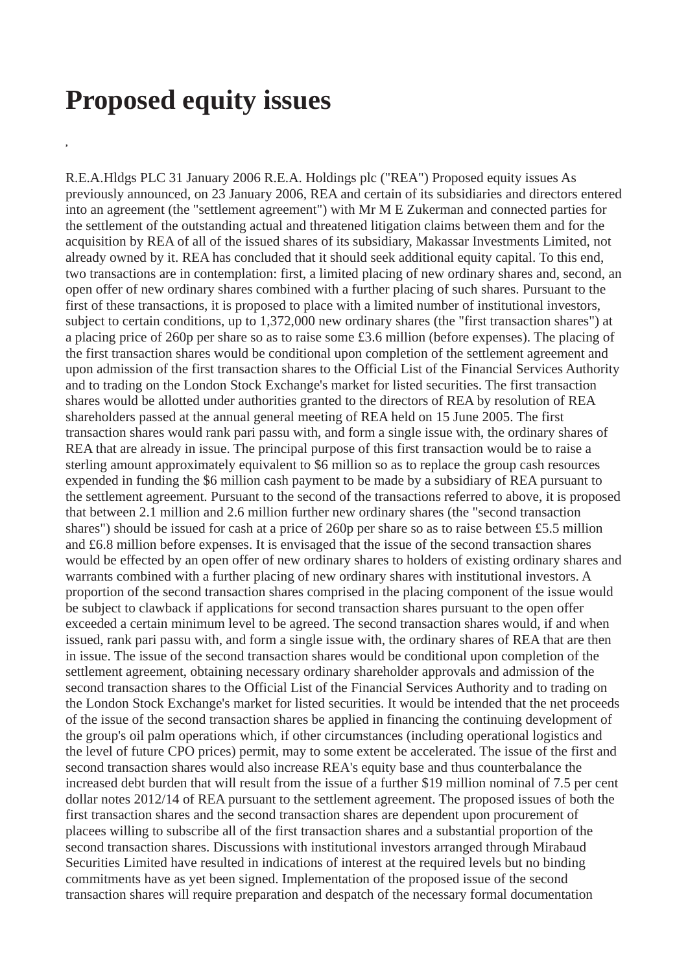## **Proposed equity issues**

**,**

R.E.A.Hldgs PLC 31 January 2006 R.E.A. Holdings plc ("REA") Proposed equity issues As previously announced, on 23 January 2006, REA and certain of its subsidiaries and directors entered into an agreement (the "settlement agreement") with Mr M E Zukerman and connected parties for the settlement of the outstanding actual and threatened litigation claims between them and for the acquisition by REA of all of the issued shares of its subsidiary, Makassar Investments Limited, not already owned by it. REA has concluded that it should seek additional equity capital. To this end, two transactions are in contemplation: first, a limited placing of new ordinary shares and, second, an open offer of new ordinary shares combined with a further placing of such shares. Pursuant to the first of these transactions, it is proposed to place with a limited number of institutional investors, subject to certain conditions, up to 1,372,000 new ordinary shares (the "first transaction shares") at a placing price of 260p per share so as to raise some £3.6 million (before expenses). The placing of the first transaction shares would be conditional upon completion of the settlement agreement and upon admission of the first transaction shares to the Official List of the Financial Services Authority and to trading on the London Stock Exchange's market for listed securities. The first transaction shares would be allotted under authorities granted to the directors of REA by resolution of REA shareholders passed at the annual general meeting of REA held on 15 June 2005. The first transaction shares would rank pari passu with, and form a single issue with, the ordinary shares of REA that are already in issue. The principal purpose of this first transaction would be to raise a sterling amount approximately equivalent to \$6 million so as to replace the group cash resources expended in funding the \$6 million cash payment to be made by a subsidiary of REA pursuant to the settlement agreement. Pursuant to the second of the transactions referred to above, it is proposed that between 2.1 million and 2.6 million further new ordinary shares (the "second transaction shares") should be issued for cash at a price of 260p per share so as to raise between £5.5 million and £6.8 million before expenses. It is envisaged that the issue of the second transaction shares would be effected by an open offer of new ordinary shares to holders of existing ordinary shares and warrants combined with a further placing of new ordinary shares with institutional investors. A proportion of the second transaction shares comprised in the placing component of the issue would be subject to clawback if applications for second transaction shares pursuant to the open offer exceeded a certain minimum level to be agreed. The second transaction shares would, if and when issued, rank pari passu with, and form a single issue with, the ordinary shares of REA that are then in issue. The issue of the second transaction shares would be conditional upon completion of the settlement agreement, obtaining necessary ordinary shareholder approvals and admission of the second transaction shares to the Official List of the Financial Services Authority and to trading on the London Stock Exchange's market for listed securities. It would be intended that the net proceeds of the issue of the second transaction shares be applied in financing the continuing development of the group's oil palm operations which, if other circumstances (including operational logistics and the level of future CPO prices) permit, may to some extent be accelerated. The issue of the first and second transaction shares would also increase REA's equity base and thus counterbalance the increased debt burden that will result from the issue of a further \$19 million nominal of 7.5 per cent dollar notes 2012/14 of REA pursuant to the settlement agreement. The proposed issues of both the first transaction shares and the second transaction shares are dependent upon procurement of placees willing to subscribe all of the first transaction shares and a substantial proportion of the second transaction shares. Discussions with institutional investors arranged through Mirabaud Securities Limited have resulted in indications of interest at the required levels but no binding commitments have as yet been signed. Implementation of the proposed issue of the second transaction shares will require preparation and despatch of the necessary formal documentation